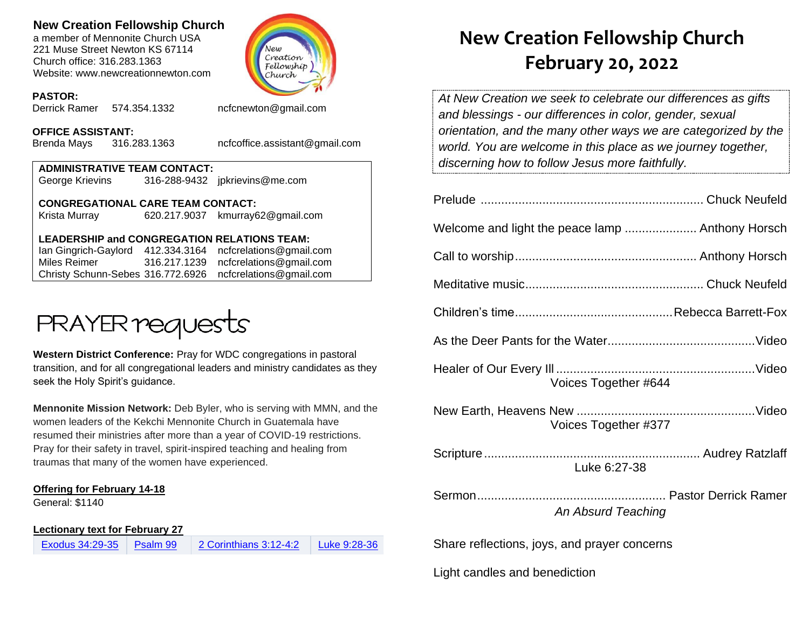## **New Creation Fellowship Church**

a member of Mennonite Church USA 221 Muse Street Newton KS 67114 Church office: 316.283.1363 Website: www.newcreationnewton.com



#### **PASTOR:**

Derrick Ramer 574.354.1332 [ncfcnewton@gmail.com](mailto:ncfcnewton@gmail.com)

**OFFICE ASSISTANT:**

Brenda Mays 316.283.1363 ncfcoffice.assistant@gmail.com

| <b>ADMINISTRATIVE TEAM CONTACT:</b> |  |                                |  |  |
|-------------------------------------|--|--------------------------------|--|--|
| George Krievins                     |  | 316-288-9432 jpkrievins@me.com |  |  |
|                                     |  |                                |  |  |

**CONGREGATIONAL CARE TEAM CONTACT:** Krista Murray 620.217.9037 [kmurray62@gmail.com](mailto:kmurray62@gmail.com)

### **LEADERSHIP and CONGREGATION RELATIONS TEAM:**

Ian Gingrich-Gaylord 412.334.3164 [ncfcrelations@gmail.com](mailto:ncfcrelations@gmail.com) Miles Reimer [316.217.1239](mailto:316.217.1239) [ncfcrelations@gmail.com](mailto:ncfcrelations@gmail.com) Christy Schunn-Sebes 316.772.6926 ncfcrelations@gmail.com



**Western District Conference:** Pray for WDC congregations in pastoral transition, and for all congregational leaders and ministry candidates as they seek the Holy Spirit's guidance.

**Mennonite Mission Network:** Deb Byler, who is serving with MMN, and the women leaders of the Kekchi Mennonite Church in Guatemala have resumed their ministries after more than a year of COVID-19 restrictions. Pray for their safety in travel, spirit-inspired teaching and healing from traumas that many of the women have experienced.

### **Offering for February 14-18**

General: \$1140

**Lectionary text for February 27**

| Exodus 34:29-35 | Psalm 99 | 2 Corinthians 3:12-4:2 | Luke 9:28-36 |
|-----------------|----------|------------------------|--------------|
|-----------------|----------|------------------------|--------------|

# **New Creation Fellowship Church February 20, 2022**

*At New Creation we seek to celebrate our differences as gifts and blessings - our differences in color, gender, sexual orientation, and the many other ways we are categorized by the world. You are welcome in this place as we journey together, discerning how to follow Jesus more faithfully.*

| Voices Together #644                         |  |  |
|----------------------------------------------|--|--|
| Voices Together #377                         |  |  |
| Luke 6:27-38                                 |  |  |
| An Absurd Teaching                           |  |  |
| Share reflections, joys, and prayer concerns |  |  |

Light candles and benediction